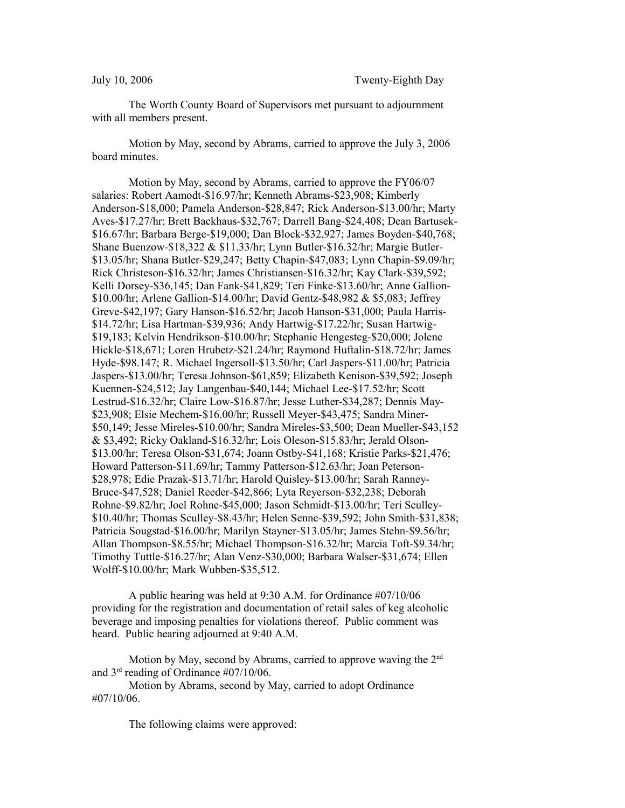The Worth County Board of Supervisors met pursuant to adjournment with all members present.

Motion by May, second by Abrams, carried to approve the July 3, 2006 board minutes.

Motion by May, second by Abrams, carried to approve the FY06/07 salaries: Robert Aamodt-\$16.97/hr; Kenneth Abrams-\$23,908; Kimberly Anderson-\$18,000; Pamela Anderson-\$28,847; Rick Anderson-\$13.00/hr; Marty Aves-\$17.27/hr; Brett Backhaus-\$32,767; Darrell Bang-\$24,408; Dean Bartusek- \$16.67/hr; Barbara Berge-\$19,000; Dan Block-\$32,927; James Boyden-\$40,768; Shane Buenzow-\$18,322 & \$11.33/hr; Lynn Butler-\$16.32/hr; Margie Butler- \$13.05/hr; Shana Butler-\$29,247; Betty Chapin-\$47,083; Lynn Chapin-\$9.09/hr; Rick Christeson-\$16.32/hr; James Christiansen-\$16.32/hr; Kay Clark-\$39,592; Kelli Dorsey-\$36,145; Dan Fank-\$41,829; Teri Finke-\$13.60/hr; Anne Gallion- \$10.00/hr; Arlene Gallion-\$14.00/hr; David Gentz-\$48,982 & \$5,083; Jeffrey Greve-\$42,197; Gary Hanson-\$16.52/hr; Jacob Hanson-\$31,000; Paula Harris- \$14.72/hr; Lisa Hartman-\$39,936; Andy Hartwig-\$17.22/hr; Susan Hartwig- \$19,183; Kelvin Hendrikson-\$10.00/hr; Stephanie Hengesteg-\$20,000; Jolene Hickle-\$18,671; Loren Hrubetz-\$21.24/hr; Raymond Huftalin-\$18.72/hr; James Hyde-\$98.147; R. Michael Ingersoll-\$13.50/hr; Carl Jaspers-\$11.00/hr; Patricia Jaspers-\$13.00/hr; Teresa Johnson-\$61,859; Elizabeth Kenison-\$39,592; Joseph Kuennen-\$24,512; Jay Langenbau-\$40,144; Michael Lee-\$17.52/hr; Scott Lestrud-\$16.32/hr; Claire Low-\$16.87/hr; Jesse Luther-\$34,287; Dennis May- \$23,908; Elsie Mechem-\$16.00/hr; Russell Meyer-\$43,475; Sandra Miner- \$50,149; Jesse Mireles-\$10.00/hr; Sandra Mireles-\$3,500; Dean Mueller-\$43,152 & \$3,492; Ricky Oakland-\$16.32/hr; Lois Oleson-\$15.83/hr; Jerald Olson- \$13.00/hr; Teresa Olson-\$31,674; Joann Ostby-\$41,168; Kristie Parks-\$21,476; Howard Patterson-\$11.69/hr; Tammy Patterson-\$12.63/hr; Joan Peterson- \$28,978; Edie Prazak-\$13.71/hr; Harold Quisley-\$13.00/hr; Sarah Ranney-Bruce-\$47,528; Daniel Reeder-\$42,866; Lyta Reyerson-\$32,238; Deborah Rohne-\$9.82/hr; Joel Rohne-\$45,000; Jason Schmidt-\$13.00/hr; Teri Sculley- \$10.40/hr; Thomas Sculley-\$8.43/hr; Helen Senne-\$39,592; John Smith-\$31,838; Patricia Sougstad-\$16.00/hr; Marilyn Stayner-\$13.05/hr; James Stehn-\$9.56/hr; Allan Thompson-\$8.55/hr; Michael Thompson-\$16.32/hr; Marcia Toft-\$9.34/hr; Timothy Tuttle-\$16.27/hr; Alan Venz-\$30,000; Barbara Walser-\$31,674; Ellen Wolff-\$10.00/hr; Mark Wubben-\$35,512.

A public hearing was held at 9:30 A.M. for Ordinance #07/10/06 providing for the registration and documentation of retail sales of keg alcoholic beverage and imposing penalties for violations thereof. Public comment was heard. Public hearing adjourned at 9:40 A.M.

Motion by May, second by Abrams, carried to approve waving the  $2<sup>nd</sup>$ and 3rd reading of Ordinance #07/10/06.

Motion by Abrams, second by May, carried to adopt Ordinance #07/10/06.

The following claims were approved: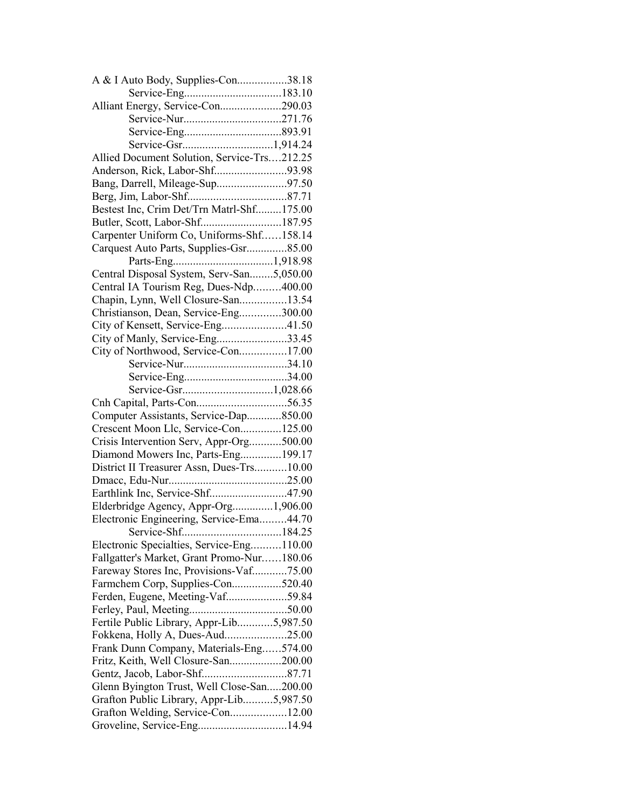| A & I Auto Body, Supplies-Con38.18          |  |
|---------------------------------------------|--|
|                                             |  |
| Alliant Energy, Service-Con290.03           |  |
|                                             |  |
|                                             |  |
|                                             |  |
| Allied Document Solution, Service-Trs212.25 |  |
| Anderson, Rick, Labor-Shf93.98              |  |
| Bang, Darrell, Mileage-Sup97.50             |  |
|                                             |  |
| Bestest Inc, Crim Det/Trn Matrl-Shf175.00   |  |
| Butler, Scott, Labor-Shf187.95              |  |
| Carpenter Uniform Co, Uniforms-Shf158.14    |  |
| Carquest Auto Parts, Supplies-Gsr85.00      |  |
|                                             |  |
| Central Disposal System, Serv-San5,050.00   |  |
| Central IA Tourism Reg, Dues-Ndp400.00      |  |
| Chapin, Lynn, Well Closure-San13.54         |  |
| Christianson, Dean, Service-Eng300.00       |  |
| City of Kensett, Service-Eng41.50           |  |
| City of Manly, Service-Eng33.45             |  |
| City of Northwood, Service-Con17.00         |  |
|                                             |  |
|                                             |  |
|                                             |  |
|                                             |  |
| Computer Assistants, Service-Dap850.00      |  |
| Crescent Moon Llc, Service-Con125.00        |  |
| Crisis Intervention Serv, Appr-Org500.00    |  |
| Diamond Mowers Inc, Parts-Eng199.17         |  |
| District II Treasurer Assn, Dues-Trs10.00   |  |
|                                             |  |
|                                             |  |
| Elderbridge Agency, Appr-Org1,906.00        |  |
| Electronic Engineering, Service-Ema44.70    |  |
|                                             |  |
| Electronic Specialties, Service-Eng110.00   |  |
| Fallgatter's Market, Grant Promo-Nur180.06  |  |
| Fareway Stores Inc, Provisions-Vaf75.00     |  |
| Farmchem Corp, Supplies-Con520.40           |  |
| Ferden, Eugene, Meeting-Vaf59.84            |  |
|                                             |  |
| Fertile Public Library, Appr-Lib5,987.50    |  |
|                                             |  |
| Frank Dunn Company, Materials-Eng574.00     |  |
|                                             |  |
| Fritz, Keith, Well Closure-San200.00        |  |
|                                             |  |
| Glenn Byington Trust, Well Close-San200.00  |  |
| Grafton Public Library, Appr-Lib5,987.50    |  |
| Grafton Welding, Service-Con12.00           |  |
| Groveline, Service-Eng14.94                 |  |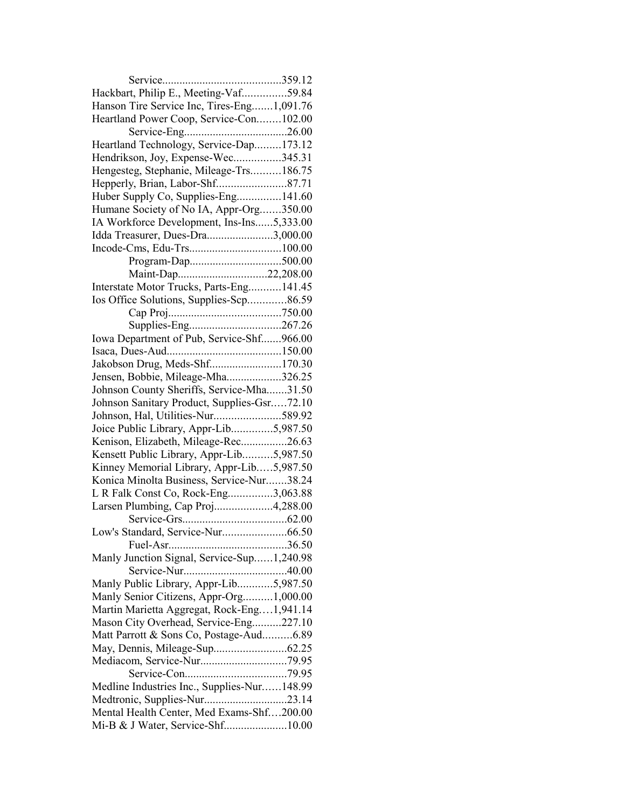| Hackbart, Philip E., Meeting-Vaf59.84       |  |
|---------------------------------------------|--|
| Hanson Tire Service Inc, Tires-Eng1,091.76  |  |
| Heartland Power Coop, Service-Con102.00     |  |
|                                             |  |
| Heartland Technology, Service-Dap173.12     |  |
| Hendrikson, Joy, Expense-Wec345.31          |  |
| Hengesteg, Stephanie, Mileage-Trs186.75     |  |
| Hepperly, Brian, Labor-Shf87.71             |  |
| Huber Supply Co, Supplies-Eng141.60         |  |
| Humane Society of No IA, Appr-Org350.00     |  |
| IA Workforce Development, Ins-Ins5,333.00   |  |
| Idda Treasurer, Dues-Dra3,000.00            |  |
|                                             |  |
|                                             |  |
| Maint-Dap22,208.00                          |  |
| Interstate Motor Trucks, Parts-Eng 141.45   |  |
| Ios Office Solutions, Supplies-Scp86.59     |  |
|                                             |  |
|                                             |  |
| Iowa Department of Pub, Service-Shf966.00   |  |
|                                             |  |
| Jakobson Drug, Meds-Shf170.30               |  |
| Jensen, Bobbie, Mileage-Mha326.25           |  |
| Johnson County Sheriffs, Service-Mha31.50   |  |
| Johnson Sanitary Product, Supplies-Gsr72.10 |  |
| Johnson, Hal, Utilities-Nur589.92           |  |
| Joice Public Library, Appr-Lib5,987.50      |  |
| Kenison, Elizabeth, Mileage-Rec26.63        |  |
| Kensett Public Library, Appr-Lib5,987.50    |  |
| Kinney Memorial Library, Appr-Lib5,987.50   |  |
| Konica Minolta Business, Service-Nur38.24   |  |
| L R Falk Const Co, Rock-Eng3,063.88         |  |
| Larsen Plumbing, Cap Proj4,288.00           |  |
|                                             |  |
| Low's Standard, Service-Nur66.50            |  |
|                                             |  |
| Manly Junction Signal, Service-Sup1,240.98  |  |
|                                             |  |
| Manly Public Library, Appr-Lib5,987.50      |  |
| Manly Senior Citizens, Appr-Org1,000.00     |  |
| Martin Marietta Aggregat, Rock-Eng1,941.14  |  |
| Mason City Overhead, Service-Eng227.10      |  |
| Matt Parrott & Sons Co, Postage-Aud6.89     |  |
|                                             |  |
|                                             |  |
|                                             |  |
| Medline Industries Inc., Supplies-Nur148.99 |  |
|                                             |  |
| Mental Health Center, Med Exams-Shf200.00   |  |
| Mi-B & J Water, Service-Shf10.00            |  |